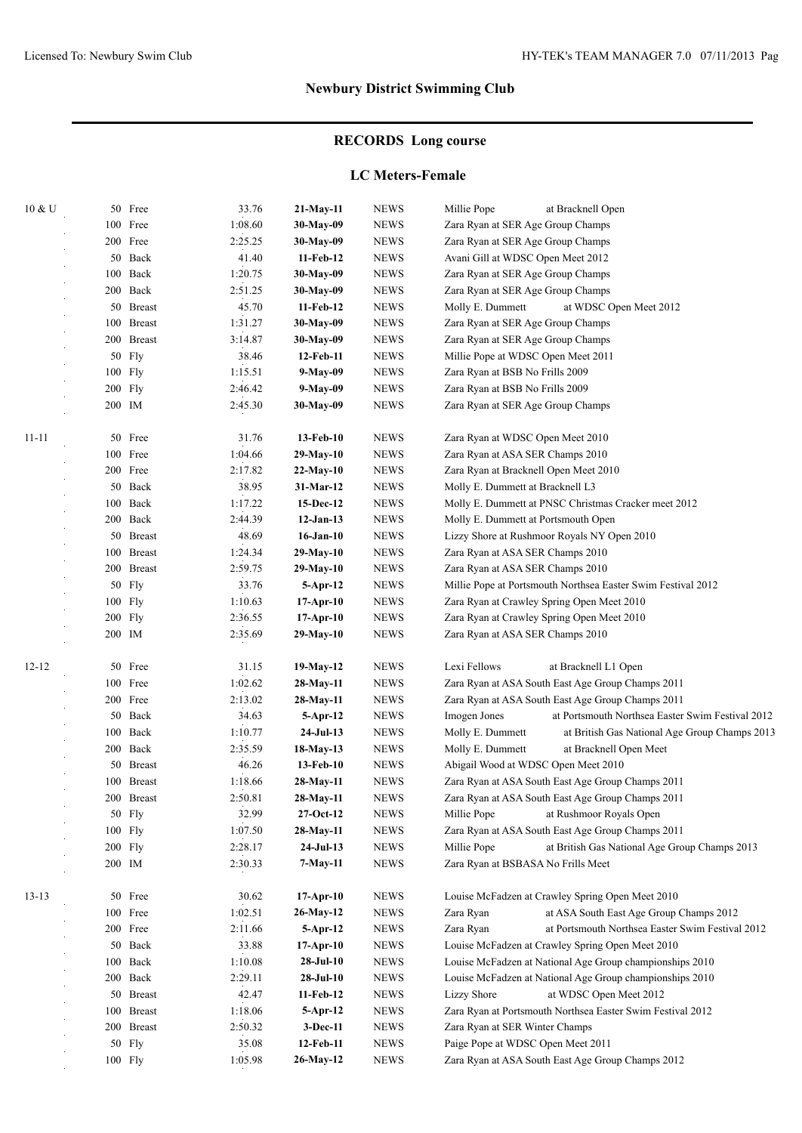# **RECORDS Long course**

#### **LC Meters-Female**

| $10 \& U$ |        | 50 Free       | 33.76   | $21-May-11$     | <b>NEWS</b>  | Millie Pope<br>at Bracknell Open                                  |
|-----------|--------|---------------|---------|-----------------|--------------|-------------------------------------------------------------------|
|           |        | 100 Free      | 1:08.60 | 30-May-09       | <b>NEWS</b>  | Zara Ryan at SER Age Group Champs                                 |
|           |        | 200 Free      | 2:25.25 | 30-May-09       | <b>NEWS</b>  | Zara Ryan at SER Age Group Champs                                 |
|           |        | 50 Back       | 41.40   | 11-Feb-12       | <b>NEWS</b>  | Avani Gill at WDSC Open Meet 2012                                 |
|           | 100    | Back          | 1:20.75 | 30-May-09       | <b>NEWS</b>  | Zara Ryan at SER Age Group Champs                                 |
|           |        | 200 Back      | 2:51.25 | 30-May-09       | <b>NEWS</b>  | Zara Ryan at SER Age Group Champs                                 |
|           |        | 50 Breast     | 45.70   | 11-Feb-12       | <b>NEWS</b>  | Molly E. Dummett<br>at WDSC Open Meet 2012                        |
|           |        | 100 Breast    | 1:31.27 | 30-May-09       | <b>NEWS</b>  | Zara Ryan at SER Age Group Champs                                 |
|           |        | 200 Breast    | 3:14.87 | 30-May-09       | <b>NEWS</b>  | Zara Ryan at SER Age Group Champs                                 |
|           |        | 50 Fly        | 38.46   | 12-Feb-11       | <b>NEWS</b>  | Millie Pope at WDSC Open Meet 2011                                |
|           |        | 100 Fly       | 1:15.51 | 9-May-09        | <b>NEWS</b>  | Zara Ryan at BSB No Frills 2009                                   |
|           |        | 200 Fly       | 2:46.42 | 9-May-09        | <b>NEWS</b>  | Zara Ryan at BSB No Frills 2009                                   |
|           |        | 200 IM        | 2:45.30 | 30-May-09       | <b>NEWS</b>  | Zara Ryan at SER Age Group Champs                                 |
|           |        |               |         |                 |              |                                                                   |
| $11 - 11$ |        | 50 Free       | 31.76   | 13-Feb-10       | <b>NEWS</b>  | Zara Ryan at WDSC Open Meet 2010                                  |
|           |        | 100 Free      | 1:04.66 | 29-May-10       | <b>NEWS</b>  | Zara Ryan at ASA SER Champs 2010                                  |
|           |        | 200 Free      | 2:17.82 | 22-May-10       | <b>NEWS</b>  | Zara Ryan at Bracknell Open Meet 2010                             |
|           |        | 50 Back       | 38.95   | 31-Mar-12       | <b>NEWS</b>  | Molly E. Dummett at Bracknell L3                                  |
|           |        | 100 Back      | 1:17.22 | 15-Dec-12       | <b>NEWS</b>  | Molly E. Dummett at PNSC Christmas Cracker meet 2012              |
|           |        | 200 Back      | 2:44.39 | $12-Jan-13$     | <b>NEWS</b>  | Molly E. Dummett at Portsmouth Open                               |
|           |        | 50 Breast     | 48.69   | $16$ -Jan- $10$ | <b>NEWS</b>  | Lizzy Shore at Rushmoor Royals NY Open 2010                       |
|           |        | 100 Breast    | 1:24.34 | 29-May-10       | <b>NEWS</b>  | Zara Ryan at ASA SER Champs 2010                                  |
|           |        | 200 Breast    | 2:59.75 | 29-May-10       | <b>NEWS</b>  | Zara Ryan at ASA SER Champs 2010                                  |
|           | 50     | Fly           | 33.76   | $5-$ Apr $-12$  | <b>NEWS</b>  | Millie Pope at Portsmouth Northsea Easter Swim Festival 2012      |
|           |        | 100 Fly       | 1:10.63 | $17-Apr-10$     | <b>NEWS</b>  | Zara Ryan at Crawley Spring Open Meet 2010                        |
|           |        | 200 Fly       | 2:36.55 | $17-Apr-10$     | <b>NEWS</b>  | Zara Ryan at Crawley Spring Open Meet 2010                        |
|           | 200 IM |               | 2:35.69 | 29-May-10       | <b>NEWS</b>  | Zara Ryan at ASA SER Champs 2010                                  |
|           |        |               |         |                 |              |                                                                   |
| $12 - 12$ |        | 50 Free       | 31.15   | 19-May-12       | <b>NEWS</b>  | Lexi Fellows<br>at Bracknell L1 Open                              |
|           |        | 100 Free      | 1:02.62 | 28-May-11       | <b>NEWS</b>  | Zara Ryan at ASA South East Age Group Champs 2011                 |
|           |        | 200 Free      | 2:13.02 | 28-May-11       | <b>NEWS</b>  | Zara Ryan at ASA South East Age Group Champs 2011                 |
|           |        | 50 Back       | 34.63   | 5-Apr-12        | <b>NEWS</b>  | Imogen Jones<br>at Portsmouth Northsea Easter Swim Festival 2012  |
|           |        | 100 Back      | 1:10.77 | $24-Jul-13$     | <b>NEWS</b>  | Molly E. Dummett<br>at British Gas National Age Group Champs 2013 |
|           |        | 200 Back      | 2:35.59 | 18-May-13       | <b>NEWS</b>  | Molly E. Dummett<br>at Bracknell Open Meet                        |
|           |        | 50 Breast     | 46.26   | 13-Feb-10       | <b>NEWS</b>  | Abigail Wood at WDSC Open Meet 2010                               |
|           | 100    | <b>Breast</b> | 1:18.66 | 28-May-11       | <b>NEWS</b>  | Zara Ryan at ASA South East Age Group Champs 2011                 |
|           |        | 200 Breast    | 2:50.81 | 28-May-11       | <b>NEWS</b>  | Zara Ryan at ASA South East Age Group Champs 2011                 |
|           |        | 50 Fly        | 32.99   | 27-Oct-12       | <b>NEWS</b>  | Millie Pope<br>at Rushmoor Royals Open                            |
|           |        | 100 Fly       | 1:07.50 | 28-May-11       | <b>NEWS</b>  | Zara Ryan at ASA South East Age Group Champs 2011                 |
|           |        | 200 Fly       | 2:28.17 | $24-Jul-13$     | <b>NEWS</b>  | at British Gas National Age Group Champs 2013<br>Millie Pope      |
|           |        | 200 IM        | 2:30.33 | 7-May-11        | ${\rm NEWS}$ | Zara Ryan at BSBASA No Frills Meet                                |
|           |        |               |         |                 |              |                                                                   |
| $13-13$   |        | 50 Free       | 30.62   | $17-Apr-10$     | <b>NEWS</b>  | Louise McFadzen at Crawley Spring Open Meet 2010                  |
|           |        | 100 Free      | 1:02.51 | 26-May-12       | <b>NEWS</b>  | Zara Ryan<br>at ASA South East Age Group Champs 2012              |
|           |        | 200 Free      | 2:11.66 | $5-$ Apr $-12$  | ${\rm NEWS}$ | Zara Ryan<br>at Portsmouth Northsea Easter Swim Festival 2012     |
|           |        | 50 Back       | 33.88   | $17-Apr-10$     | <b>NEWS</b>  | Louise McFadzen at Crawley Spring Open Meet 2010                  |
|           |        | 100 Back      | 1:10.08 | $28-JuI-10$     | ${\rm NEWS}$ | Louise McFadzen at National Age Group championships 2010          |
|           |        | 200 Back      | 2:29.11 | $28-JuI-10$     | ${\rm NEWS}$ | Louise McFadzen at National Age Group championships 2010          |
|           |        | 50 Breast     | 42.47   | 11-Feb-12       | ${\rm NEWS}$ | <b>Lizzy Shore</b><br>at WDSC Open Meet 2012                      |
|           |        | 100 Breast    | 1:18.06 | 5-Apr-12        | ${\rm NEWS}$ | Zara Ryan at Portsmouth Northsea Easter Swim Festival 2012        |
|           |        | 200 Breast    | 2:50.32 | 3-Dec-11        | ${\rm NEWS}$ | Zara Ryan at SER Winter Champs                                    |
|           |        | 50 Fly        | 35.08   | 12-Feb-11       | <b>NEWS</b>  | Paige Pope at WDSC Open Meet 2011                                 |
|           |        | 100 Fly       | 1:05.98 | 26-May-12       | <b>NEWS</b>  | Zara Ryan at ASA South East Age Group Champs 2012                 |
|           |        |               |         |                 |              |                                                                   |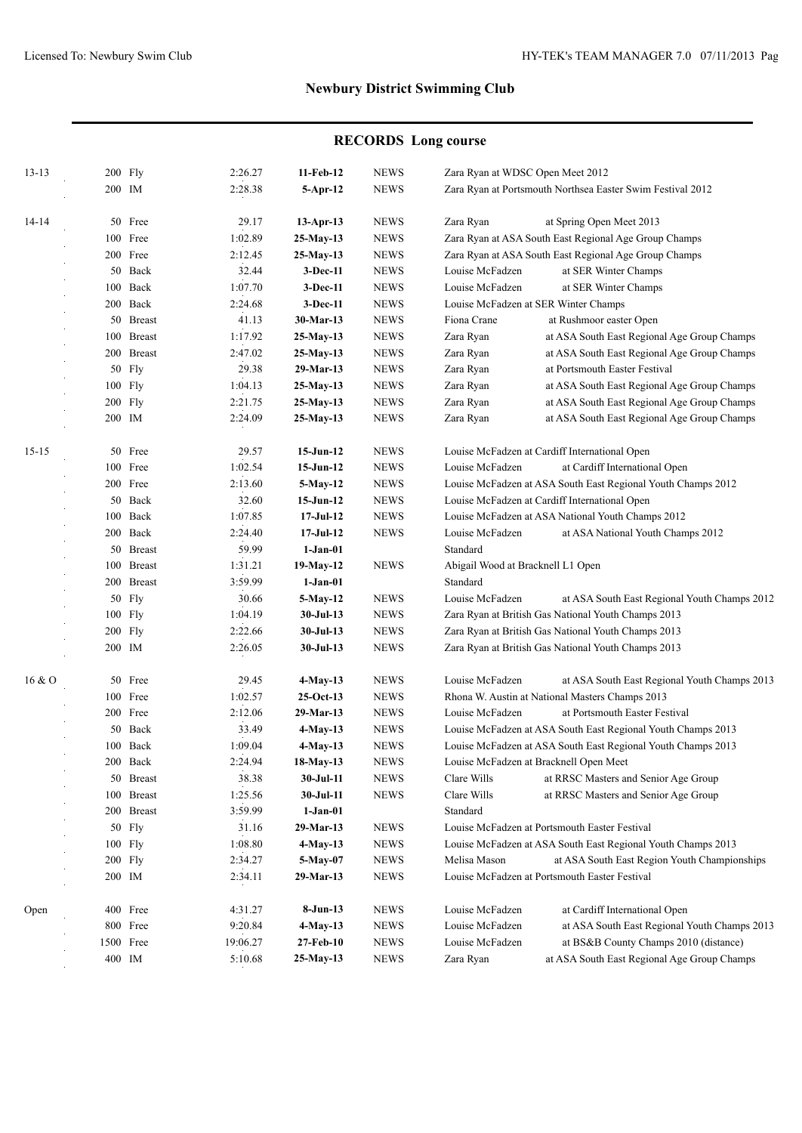# **RECORDS Long course**

| $13 - 13$ | 200 Fly             |            | 2:26.27  | 11-Feb-12       | <b>NEWS</b> | Zara Ryan at WDSC Open Meet 2012                             |                                                              |  |
|-----------|---------------------|------------|----------|-----------------|-------------|--------------------------------------------------------------|--------------------------------------------------------------|--|
|           | 200 IM              |            | 2:28.38  | $5-Apr-12$      | <b>NEWS</b> |                                                              | Zara Ryan at Portsmouth Northsea Easter Swim Festival 2012   |  |
|           |                     |            |          |                 |             |                                                              |                                                              |  |
|           |                     |            | 29.17    |                 | <b>NEWS</b> |                                                              | at Spring Open Meet 2013                                     |  |
| 14-14     | 50 Free<br>100 Free |            | 1:02.89  | $13$ -Apr-13    | <b>NEWS</b> | Zara Ryan                                                    | Zara Ryan at ASA South East Regional Age Group Champs        |  |
|           |                     |            |          | 25-May-13       |             |                                                              |                                                              |  |
|           |                     | 200 Free   | 2:12.45  | $25-May-13$     | <b>NEWS</b> |                                                              | Zara Ryan at ASA South East Regional Age Group Champs        |  |
|           |                     | 50 Back    | 32.44    | $3-Dec-11$      | <b>NEWS</b> | Louise McFadzen                                              | at SER Winter Champs                                         |  |
|           |                     | 100 Back   | 1:07.70  | 3-Dec-11        | <b>NEWS</b> | Louise McFadzen                                              | at SER Winter Champs                                         |  |
|           |                     | 200 Back   | 2:24.68  | $3-Dec-11$      | <b>NEWS</b> |                                                              | Louise McFadzen at SER Winter Champs                         |  |
|           |                     | 50 Breast  | 41.13    | 30-Mar-13       | <b>NEWS</b> | Fiona Crane                                                  | at Rushmoor easter Open                                      |  |
|           |                     | 100 Breast | 1:17.92  | $25-May-13$     | <b>NEWS</b> | Zara Ryan                                                    | at ASA South East Regional Age Group Champs                  |  |
|           |                     | 200 Breast | 2:47.02  | 25-May-13       | <b>NEWS</b> | Zara Ryan                                                    | at ASA South East Regional Age Group Champs                  |  |
|           |                     | 50 Fly     | 29.38    | 29-Mar-13       | <b>NEWS</b> | Zara Ryan                                                    | at Portsmouth Easter Festival                                |  |
|           | $100$ Fly           |            | 1:04.13  | 25-May-13       | <b>NEWS</b> | Zara Ryan                                                    | at ASA South East Regional Age Group Champs                  |  |
|           | 200 Fly             |            | 2:21.75  | $25-May-13$     | <b>NEWS</b> | Zara Ryan                                                    | at ASA South East Regional Age Group Champs                  |  |
|           | 200 IM              |            | 2:24.09  | 25-May-13       | <b>NEWS</b> | Zara Ryan                                                    | at ASA South East Regional Age Group Champs                  |  |
| $15 - 15$ |                     | 50 Free    | 29.57    | $15-Jun-12$     | <b>NEWS</b> |                                                              | Louise McFadzen at Cardiff International Open                |  |
|           |                     | 100 Free   | 1:02.54  | $15$ -Jun- $12$ | <b>NEWS</b> | Louise McFadzen                                              | at Cardiff International Open                                |  |
|           |                     | 200 Free   | 2:13.60  | 5-May-12        | <b>NEWS</b> |                                                              | Louise McFadzen at ASA South East Regional Youth Champs 2012 |  |
|           |                     | 50 Back    | 32.60    | $15$ -Jun- $12$ | <b>NEWS</b> | Louise McFadzen at Cardiff International Open                |                                                              |  |
|           |                     | 100 Back   | 1:07.85  | $17-JuI-12$     | <b>NEWS</b> |                                                              | Louise McFadzen at ASA National Youth Champs 2012            |  |
|           |                     | 200 Back   | 2:24.40  | $17-JuI-12$     | <b>NEWS</b> | Louise McFadzen                                              | at ASA National Youth Champs 2012                            |  |
|           |                     | 50 Breast  | 59.99    | $1-Jan-01$      |             | Standard                                                     |                                                              |  |
|           |                     | 100 Breast | 1:31.21  | 19-May-12       | <b>NEWS</b> | Abigail Wood at Bracknell L1 Open                            |                                                              |  |
|           |                     | 200 Breast | 3:59.99  | $1-Jan-01$      |             | Standard                                                     |                                                              |  |
|           |                     |            | 30.66    |                 |             |                                                              |                                                              |  |
|           |                     | 50 Fly     |          | 5-May-12        | <b>NEWS</b> | Louise McFadzen                                              | at ASA South East Regional Youth Champs 2012                 |  |
|           |                     | 100 Fly    | 1:04.19  | $30-JuI-13$     | <b>NEWS</b> |                                                              | Zara Ryan at British Gas National Youth Champs 2013          |  |
|           | 200 Fly             |            | 2:22.66  | $30-JuI-13$     | <b>NEWS</b> |                                                              | Zara Ryan at British Gas National Youth Champs 2013          |  |
|           | 200 IM              |            | 2:26.05  | $30-JuI-13$     | <b>NEWS</b> |                                                              | Zara Ryan at British Gas National Youth Champs 2013          |  |
| 16 & 0    |                     | 50 Free    | 29.45    | 4-May-13        | <b>NEWS</b> | Louise McFadzen                                              | at ASA South East Regional Youth Champs 2013                 |  |
|           |                     | 100 Free   | 1:02.57  | $25-Oct-13$     | <b>NEWS</b> |                                                              | Rhona W. Austin at National Masters Champs 2013              |  |
|           |                     | 200 Free   | 2:12.06  | 29-Mar-13       | <b>NEWS</b> | Louise McFadzen<br>at Portsmouth Easter Festival             |                                                              |  |
|           |                     | 50 Back    | 33.49    | $4-May-13$      | <b>NEWS</b> |                                                              | Louise McFadzen at ASA South East Regional Youth Champs 2013 |  |
|           |                     | 100 Back   | 1:09.04  | $4-May-13$      | <b>NEWS</b> | Louise McFadzen at ASA South East Regional Youth Champs 2013 |                                                              |  |
|           |                     | 200 Back   | 2:24.94  | 18-May-13       | <b>NEWS</b> |                                                              | Louise McFadzen at Bracknell Open Meet                       |  |
|           |                     | 50 Breast  | 38.38    | 30-Jul-11       | <b>NEWS</b> | Clare Wills                                                  | at RRSC Masters and Senior Age Group                         |  |
|           |                     | 100 Breast | 1:25.56  | 30-Jul-11       | <b>NEWS</b> | Clare Wills                                                  | at RRSC Masters and Senior Age Group                         |  |
|           |                     | 200 Breast | 3:59.99  | $1-Jan-01$      |             | Standard                                                     |                                                              |  |
|           |                     | 50 Fly     | 31.16    | 29-Mar-13       | <b>NEWS</b> |                                                              | Louise McFadzen at Portsmouth Easter Festival                |  |
|           | 100 Fly             |            | 1:08.80  | 4-May-13        | <b>NEWS</b> |                                                              | Louise McFadzen at ASA South East Regional Youth Champs 2013 |  |
|           | $200$ Fly           |            | 2:34.27  | 5-May-07        | <b>NEWS</b> | Melisa Mason                                                 | at ASA South East Region Youth Championships                 |  |
|           | 200 IM              |            | 2:34.11  | 29-Mar-13       | <b>NEWS</b> |                                                              | Louise McFadzen at Portsmouth Easter Festival                |  |
|           |                     |            |          |                 |             |                                                              |                                                              |  |
| Open      |                     | 400 Free   | 4:31.27  | 8-Jun-13        | <b>NEWS</b> | Louise McFadzen                                              | at Cardiff International Open                                |  |
|           |                     | 800 Free   | 9:20.84  | 4-May-13        | <b>NEWS</b> | Louise McFadzen                                              | at ASA South East Regional Youth Champs 2013                 |  |
|           |                     | 1500 Free  | 19:06.27 | 27-Feb-10       | <b>NEWS</b> | Louise McFadzen                                              | at BS&B County Champs 2010 (distance)                        |  |
|           | 400 IM              |            | 5:10.68  | 25-May-13       | <b>NEWS</b> | Zara Ryan                                                    | at ASA South East Regional Age Group Champs                  |  |
|           |                     |            |          |                 |             |                                                              |                                                              |  |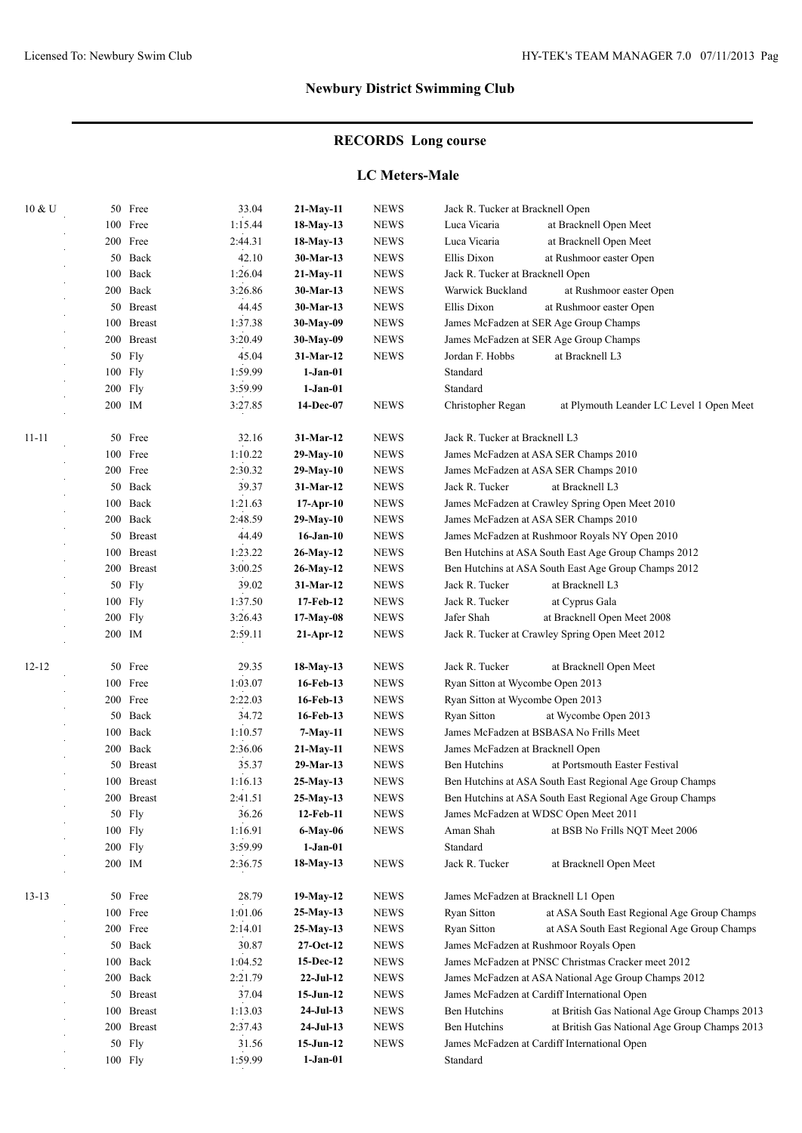# **RECORDS Long course**

#### **LC Meters-Male**

| 10 & U    |     | 50 Free       | 33.04   | $21-May-11$     | <b>NEWS</b> | Jack R. Tucker at Bracknell Open    |                                                          |
|-----------|-----|---------------|---------|-----------------|-------------|-------------------------------------|----------------------------------------------------------|
|           |     | 100 Free      | 1:15.44 | 18-May-13       | <b>NEWS</b> | Luca Vicaria                        | at Bracknell Open Meet                                   |
|           |     | 200 Free      | 2:44.31 | 18-May-13       | <b>NEWS</b> | Luca Vicaria                        | at Bracknell Open Meet                                   |
|           |     | 50 Back       | 42.10   | 30-Mar-13       | <b>NEWS</b> | Ellis Dixon                         | at Rushmoor easter Open                                  |
|           |     | 100 Back      | 1:26.04 | $21-May-11$     | <b>NEWS</b> | Jack R. Tucker at Bracknell Open    |                                                          |
|           |     | 200 Back      | 3:26.86 | 30-Mar-13       | <b>NEWS</b> | Warwick Buckland                    | at Rushmoor easter Open                                  |
|           |     | 50 Breast     | 44.45   | 30-Mar-13       | <b>NEWS</b> | Ellis Dixon                         | at Rushmoor easter Open                                  |
|           | 100 | <b>Breast</b> | 1:37.38 | 30-May-09       | <b>NEWS</b> |                                     | James McFadzen at SER Age Group Champs                   |
|           |     | 200 Breast    | 3:20.49 | 30-May-09       | <b>NEWS</b> |                                     | James McFadzen at SER Age Group Champs                   |
|           |     | 50 Fly        | 45.04   | 31-Mar-12       | <b>NEWS</b> | Jordan F. Hobbs                     | at Bracknell L3                                          |
|           |     | 100 Fly       | 1:59.99 | $1-Jan-01$      |             | Standard                            |                                                          |
|           |     | 200 Fly       | 3:59.99 | $1-Jan-01$      |             | Standard                            |                                                          |
|           |     | 200 IM        | 3:27.85 | 14-Dec-07       | <b>NEWS</b> | Christopher Regan                   | at Plymouth Leander LC Level 1 Open Meet                 |
| $11 - 11$ |     | 50 Free       | 32.16   | 31-Mar-12       | <b>NEWS</b> | Jack R. Tucker at Bracknell L3      |                                                          |
|           |     | 100 Free      | 1:10.22 | $29-May-10$     | <b>NEWS</b> |                                     | James McFadzen at ASA SER Champs 2010                    |
|           |     | 200 Free      | 2:30.32 | $29-May-10$     | <b>NEWS</b> |                                     | James McFadzen at ASA SER Champs 2010                    |
|           |     | 50 Back       | 39.37   | 31-Mar-12       | <b>NEWS</b> | Jack R. Tucker                      | at Bracknell L3                                          |
|           |     | 100 Back      | 1:21.63 | $17-Apr-10$     | <b>NEWS</b> |                                     | James McFadzen at Crawley Spring Open Meet 2010          |
|           |     | 200 Back      | 2:48.59 | 29-May-10       | <b>NEWS</b> |                                     | James McFadzen at ASA SER Champs 2010                    |
|           |     | 50 Breast     | 44.49   | $16$ -Jan- $10$ | <b>NEWS</b> |                                     | James McFadzen at Rushmoor Royals NY Open 2010           |
|           |     | 100 Breast    | 1:23.22 | 26-May-12       | <b>NEWS</b> |                                     | Ben Hutchins at ASA South East Age Group Champs 2012     |
|           |     | 200 Breast    | 3:00.25 | $26$ -May-12    | <b>NEWS</b> |                                     | Ben Hutchins at ASA South East Age Group Champs 2012     |
|           | 50  | <b>Fly</b>    | 39.02   | 31-Mar-12       | <b>NEWS</b> | Jack R. Tucker                      | at Bracknell L3                                          |
|           |     | 100 Fly       | 1:37.50 | 17-Feb-12       | <b>NEWS</b> | Jack R. Tucker                      | at Cyprus Gala                                           |
|           |     | $200$ Fly     | 3:26.43 | $17-May-08$     | <b>NEWS</b> | Jafer Shah                          | at Bracknell Open Meet 2008                              |
|           |     | 200 IM        | 2:59.11 | $21-Apr-12$     | <b>NEWS</b> |                                     | Jack R. Tucker at Crawley Spring Open Meet 2012          |
| $12 - 12$ | 50  | Free          | 29.35   | 18-May-13       | <b>NEWS</b> | Jack R. Tucker                      | at Bracknell Open Meet                                   |
|           |     | 100 Free      | 1:03.07 | 16-Feb-13       | <b>NEWS</b> | Ryan Sitton at Wycombe Open 2013    |                                                          |
|           |     | 200 Free      | 2:22.03 | 16-Feb-13       | <b>NEWS</b> | Ryan Sitton at Wycombe Open 2013    |                                                          |
|           |     | 50 Back       | 34.72   | 16-Feb-13       | <b>NEWS</b> | <b>Ryan Sitton</b>                  | at Wycombe Open 2013                                     |
|           |     | 100 Back      | 1:10.57 | 7-May-11        | <b>NEWS</b> |                                     | James McFadzen at BSBASA No Frills Meet                  |
|           |     | 200 Back      | 2:36.06 | 21-May-11       | <b>NEWS</b> | James McFadzen at Bracknell Open    |                                                          |
|           |     | 50 Breast     | 35.37   | 29-Mar-13       | <b>NEWS</b> | <b>Ben Hutchins</b>                 | at Portsmouth Easter Festival                            |
|           | 100 | <b>Breast</b> | 1:16.13 | 25-May-13       | <b>NEWS</b> |                                     | Ben Hutchins at ASA South East Regional Age Group Champs |
|           |     | 200 Breast    | 2:41.51 | 25-May-13       | <b>NEWS</b> |                                     | Ben Hutchins at ASA South East Regional Age Group Champs |
|           |     | 50 Fly        | 36.26   | 12-Feb-11       | <b>NEWS</b> |                                     | James McFadzen at WDSC Open Meet 2011                    |
|           |     | 100 Fly       | 1:16.91 | 6-May-06        | <b>NEWS</b> | Aman Shah                           | at BSB No Frills NQT Meet 2006                           |
|           |     | 200 Fly       | 3:59.99 | $1-Jan-01$      |             | Standard                            |                                                          |
|           |     | 200 IM        | 2:36.75 | 18-May-13       | <b>NEWS</b> | Jack R. Tucker                      | at Bracknell Open Meet                                   |
| $13 - 13$ |     | 50 Free       | 28.79   | 19-May-12       | <b>NEWS</b> | James McFadzen at Bracknell L1 Open |                                                          |
|           |     | 100 Free      | 1:01.06 | $25-May-13$     | <b>NEWS</b> | Ryan Sitton                         | at ASA South East Regional Age Group Champs              |
|           |     | 200 Free      | 2:14.01 | $25-May-13$     | <b>NEWS</b> | Ryan Sitton                         | at ASA South East Regional Age Group Champs              |
|           |     | 50 Back       | 30.87   | $27-Oct-12$     | <b>NEWS</b> |                                     | James McFadzen at Rushmoor Royals Open                   |
|           |     | 100 Back      | 1:04.52 | 15-Dec-12       | <b>NEWS</b> |                                     | James McFadzen at PNSC Christmas Cracker meet 2012       |
|           |     | 200 Back      | 2:21.79 | $22-Ju1-12$     | <b>NEWS</b> |                                     | James McFadzen at ASA National Age Group Champs 2012     |
|           |     | 50 Breast     | 37.04   | $15 - Jun-12$   | <b>NEWS</b> |                                     | James McFadzen at Cardiff International Open             |
|           |     | 100 Breast    | 1:13.03 | $24-Jul-13$     | <b>NEWS</b> | Ben Hutchins                        | at British Gas National Age Group Champs 2013            |
|           |     | 200 Breast    | 2:37.43 | $24-Jul-13$     | <b>NEWS</b> | <b>Ben Hutchins</b>                 | at British Gas National Age Group Champs 2013            |
|           |     | 50 Fly        | 31.56   | $15-Jun-12$     | <b>NEWS</b> |                                     | James McFadzen at Cardiff International Open             |
|           |     | 100 Fly       | 1:59.99 | $1-Jan-01$      |             | Standard                            |                                                          |